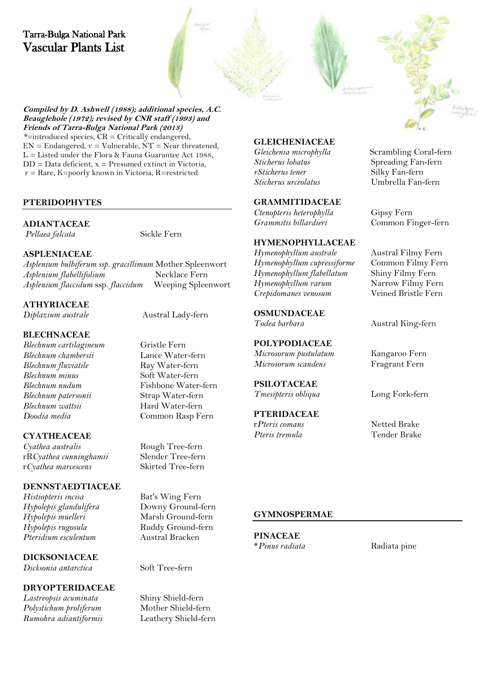



**Compiled by D. Ashwell (1988); additional species, A.C. Beauglehole (1972); revised by CNR staff (1993) and Friends of Tarra-Bulga National Park (2013)** *\*=*introduced species, CR = Critically endangered,  $EN =$  Endangered,  $v =$  Vulnerable,  $NT =$  Near threatened,  $L =$  Listed under the Flora & Fauna Guarantee Act 1988,  $DD = Data deficient, x = Presumed extinct in Victoria,$ r = Rare, K=poorly known in Victoria, R=restricted

# **PTERIDOPHYTES**

# **ADIANTACEAE**

*Pellaea falcata* Sickle Fern

# **ASPLENIACEAE**

*Asplenium bulbiferum ssp. gracillimum* Mother Spleenwort  $A$ splenium flabellifolium *Asplenium flaccidum* ssp. *flaccidum* Weeping Spleenwort

# **ATHYRIACEAE**

*Diplazium australe* Austral Lady-fern

# **BLECHNACEAE**

*Blechnum cartilagineum* Gristle Fern<br> *Blechnum chambersii* Lance Water-fern *Blechnum chambersii* Lance Water-fern *Blechnum fluviatile*<br>Blechnum minus *Blechnum patersonii*<br>Blechnum wattsii *Blechnum wattsii* Hard Water-fern

# **CYATHEACEAE**

*Cyathea australis* **Rough Tree-fern**<br> **R** *Cyathea cunninghamii* Slender Tree-fern rR*Cyathea cunninghamii* Slender Tree-fern  $r$ Cyathea marcescens

#### **DENNSTAEDTIACEAE**

Hypolepis glandulifera *Hypolepis muelleri* Marsh Ground-fern *Hypolepis rugosula* **Ruddy Ground-fern** *Pteridium esculentum* Austral Bracken

# **DICKSONIACEAE**

*Dicksonia antarctica* Soft Tree-fern

#### **DRYOPTERIDACEAE**

*Lastreopsis acuminata* Shiny Shield-fern  $Polystichum$  proliferum *Rumohra adiantiformis* Leathery Shield-fern

**Soft Water-fern** *Blechnum nudum* Fishbone Water-fern<br> *Blechnum patersonii* Strap Water-fern *Doodia media* Common Rasp Fern

*Histiopteris incisa* Bat's Wing Fern<br>*Hypolepis glandulifera* Downy Ground-fern

# **GLEICHENIACEAE**

*Sticherus lobatus* Spreading Fan-fern *rSticherus tener* Silky Fan-fern<br>*Sticherus urceolatus* Umbrella Fan-

# **GRAMMITIDACEAE**

*Ctenopteris heterophylla* Gipsy Fern

#### **HYMENOPHYLLACEAE**

*Hymenophyllum australe* Austral Filmy Fern<br>*Hymenophyllum cupressiforme* Common Filmy Fern *Hymenophyllum cupressiforme* Common Filmy Fe<br>*Hymenophyllum flabellatum* Shiny Filmy Fern *Hymenophyllum flabellatum* Shiny Filmy Fern *Hymenophyllum rarum* Narrow Filmy Fern  $C$ repidomanes venosum

**OSMUNDACEAE**

# **POLYPODIACEAE**

*Microsorum pustulatum* Kangaroo Fern *Microsorum scandens* 

# **PSILOTACEAE**

**PTERIDACEAE** r*Pteris comans* Netted Brake

*Gleichenia microphylla* Scrambling Coral-fern *Sticherus urceolatus* Umbrella Fan-fern

*Grammitis billardieri* Common Finger-fern

*Todea barbara* **Austral King-fern** 

*Tmesipteris obliqua* Long Fork-fern

*Pteris tremula* Tender Brake

### **GYMNOSPERMAE**

**PINACEAE**<br>\*Pinus radiata

\**Pinus radiata* Radiata pine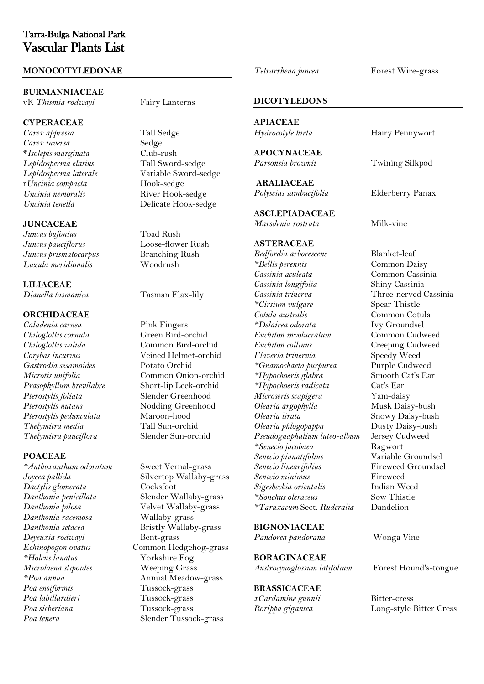#### **MONOCOTYLEDONAE**

#### **BURMANNIACEAE**

vK Thismia rodwayi Fairy Lanterns

#### **CYPERACEAE**

*Carex appressa* Tall Sedge  $C$ *arex inversa* **\****Isolepis marginata* Club-rush *Lepidosperma laterale* Variable Sword-Christ Controller<br>
r Uncinia compacta Hook-sedge r*Uncinia compacta*<br>Uncinia nemoralis *Uncinia nemoralis* River Hook-sedge

#### **JUNCACEAE**

*Juncus bufonius* Toad Rush *Juncus pauciflorus* Loose-flower Rush *Juncus prismatocarpus* Branching<br> *Luzula meridionalis* Woodrush Luzula meridionalis

**LILIACEAE** *Dianella tasmanica* Tasman Flax-lily

#### **ORCHIDACEAE**

*Chiloglottis cornuta* Green Bird-orchid *Chiloglottis valida*<br>Corybas incurvus *Gastrodia sesamoides* Potato Orchid *Prasophyllum brevilabre* Short-lip Leek-orchid *Pterostylis foliata* Slender Greenhood *Pterostylis pedunculata* Maroon-hood<br>*Thelymitra media* Tall Sun-orchid  $The$ lymitra media *Thelymitra pauciflora* Slender Sun-orchid

#### **POACEAE**

*Dactylis glomerata* Cocksfoot *Danthonia racemosa* Wallaby-grass Deyeuxia rodwayi *Microlaena stipoides* Weeping Grass *Poa ensiformis* Tussock-grass *Poa labillardieri* Tussock-grass

*Lepidosperma elatius* Tall Sword-sedge *Uncinia tenella* Delicate Hook-sedge

*Caladenia carnea* Pink Fingers<br> *Chiloslottis cornuta* Green Bird-orchid *Corybas incurvus* Veined Helmet-orchid *Microtis unifolia* Common Onion-orchid **Nodding Greenhood**<br>Maroon-hood

*\*Anthoxanthum odoratum* Sweet Vernal-grass *Joycea pallida* Silvertop Wallaby-grass *Danthonia penicillata* Slender Wallaby-grass Velvet Wallaby-grass *Danthonia setacea* Bristly Wallaby-grass *Echinopogon ovatus* Common Hedgehog-grass<br> *\*Holcus lanatus* Yorkshire Fog Yorkshire Fog *\*Poa annua* Annual Meadow-grass *Poa sieberiana* Tussock-grass *Poa tenera* Slender Tussock-grass

*Tetrarrhena juncea* Forest Wire-grass

#### **DICOTYLEDONS**

**APIACEAE**

**APOCYNACEAE** *Parsonsia brownii* Twining Silkpod

**ARALIACEAE** *Polyscias sambucifolia* Elderberry Panax

**ASCLEPIADACEAE** *Marsdenia rostrata* Milk-vine

#### **ASTERACEAE**

*Bedfordia arborescens* Blanket-leaf<br> *\*Bellis perennis* Common Da *\*Bellis perennis* Common Daisy *Cassinia longifolia Cassinia trinerva* Three-nerved Cassinia<br>
\*Cirsium vulgare Spear Thistle  $*C$ *irsium vulgare Cotula australis* Common Cotula<br> *\*Delairea odorata* Ivy Groundsel *\*Delairea odorata* Ivy Groundsel *Euchiton involucratum Euchiton collinus*<br> *Flaveria trinervia*<br>
Speedy Weed *Flaveria trinervia* Speedy Weed *\*Gnamochaeta purpurea* Purple Cudweed  $*$ *Hypochoeris glabra \*Hypochoeris radicata* Cat's Ear *Microseris scapigera* Yam-daisy *Olearia argophylla*<br>Olearia lirata *Olearia phlogopappa* **Dusty Daisy-bush**<br>*Pseudognaphalium luteo-album* Jersey Cudweed Pseudognaphalium luteo-album *\*Senecio jacobaea* Ragwort *Senecio pinnatifolius* Variable Groundsel *Senecio minimus* Fireweed  $Sigesbeckia orientalis$ *\*Sonchus oleraceus* Sow Thistle *\*Taraxacum* Sect. *Ruderalia* Dandelion

#### **BIGNONIACEAE**

*Pandorea pandorana* Wonga Vine

# **BORAGINACEAE**

#### **BRASSICACEAE**

*xCardamine gunnii* Bitter-cress

**Hairy Pennywort** 

*Cassinia aculeata* Common Cassinia Snowy Daisy-bush *Senecio linearifolius* Fireweed Groundsel

*Austrocynoglossum latifolium* Forest Hound's-tongue

*Rorippa gigantea* Long-style Bitter Cress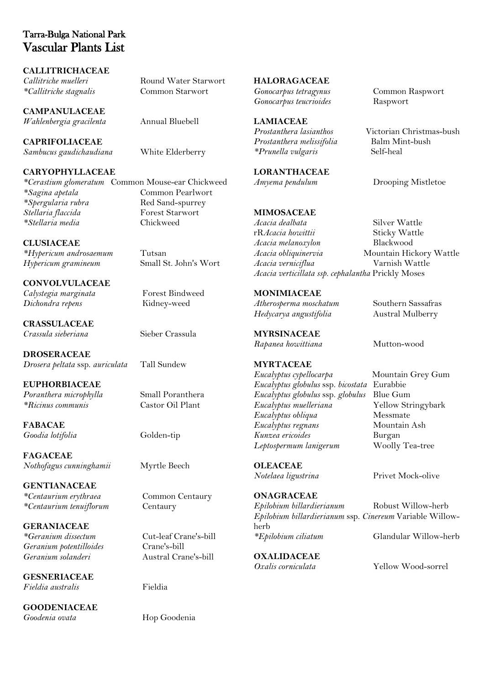**CALLITRICHACEAE** *Callitriche muelleri* Round Water Starwort *\*Callitriche stagnalis* Common Starwort

**CAMPANULACEAE** *Wahlenbergia gracilenta* Annual Bluebell

**CAPRIFOLIACEAE** *Sambucus gaudichaudiana* White Elderberry

**CARYOPHYLLACEAE** *\*Cerastium glomeratum* Common Mouse-ear Chickweed *\*Spergularia rubra* Red Sand-spurrey

**CLUSIACEAE** *\*Hypericum androsaemum* Tutsan *Hypericum gramineum* 

 $*$ Stellaria media

**CONVOLVULACEAE** *Calystegia marginata* Forest Bindweed *Dichondra repens* Kidney-weed

**CRASSULACEAE** *Crassula sieberiana* Sieber Crassula

**DROSERACEAE** *Drosera peltata* ssp. *auriculata* Tall Sundew

**EUPHORBIACEAE** *Poranthera microphylla* Small Poranthera<br>
\*Ricinus communis Castor Oil Plant  $*$ Ricinus communis

**FABACAE** *Goodia lotifolia* Golden-tip

**FAGACEAE** *Nothofagus cunninghamii* Myrtle Beech

**GENTIANACEAE** *\*Centaurium erythraea* Common Centaury *\*Centaurium tenuiflorum* Centaury

**GERANIACEAE** *\*Geranium dissectum* Cut-leaf Crane's-bill  $Geranium$ <sub>potentilloides</sub> *Geranium solanderi* Austral Crane's-bill

**GESNERIACEAE** *Fieldia australis* Fieldia

**GOODENIACEAE** *Goodenia ovata* Hop Goodenia

**Common Pearlwort**<br>Red Sand-spurrey *Stellaria flaccida* **Forest Star #**<br> *Stellaria media* **Forest Star #** Chickweed

**HALORAGACEAE** *Gonocarpus tetragynus* Common Raspwort *Gonocarpus teucrioides* Raspwort

**LAMIACEAE** *Prostanthera melissifolia* Balm Mint-<br>*Prunella vuloaris* Self-heal\*  $*Prunella vulgaris$ 

**LORANTHACEAE** *Amyema pendulum* Drooping Mistletoe

# **MIMOSACEAE**

*Acacia dealbata* Silver Wattle rR*Acacia howittii* Sticky Wattle<br> *Acacia melanoxylon* Blackwood  $Acacia$  melanoxylon *Acacia obliquinervia* Mountain Hickory Wattle<br>*Acacia verniciflua* Varnish Wattle *Acacia verniciflua Acacia verticillata ssp. cephalantha* Prickly Moses

**MONIMIACEAE** *Atherosperma moschatum* Southern Sassafras *Hedycarya angustifolia* Austral Mulberry

**MYRSINACEAE** *Rapanea howittiana* Mutton-wood

*Eucalyptus cypellocarpa* Mountain Grey Gum *Eucalyptus globulus* ssp. *bicostata* Eurabbie *Eucalyptus globulus* ssp. *globulus* Blue Gum *Eucalyptus muelleriana Eucalyptus obliqua* Messmate<br> *Eucalyptus regnans* Mountain Ash *Kunzea ericoides* Burgan *Leptospermum lanigerum* Woolly Tea-tree

*Epilobium billardierianum* Robust Willow-herb *Epilobium billardierianum* ssp. *Cinereum* Variable Willowherb *\*Epilobium ciliatum* Glandular Willow-herb

**OXALIDACEAE**<br>*Oxalis corniculata* 

*Prostanthera lasianthos* Victorian Christmas-bush

*Oxalis corniculata* Yellow Wood-sorrel

**MYRTACEAE**

 $Eucalyptus$  regnans

**OLEACEAE**

*Notelaea ligustrina* Privet Mock-olive **ONAGRACEAE**